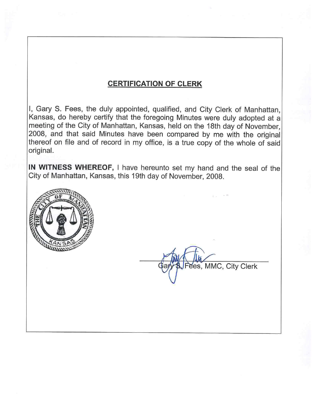### **CERTIFICATION OF CLERK**

I, Gary S. Fees, the duly appointed, qualified, and City Clerk of Manhattan, Kansas, do hereby certify that the foregoing Minutes were duly adopted at a meeting of the City of Manhattan, Kansas, held on the 18th day of November, 2008, and that said Minutes have been compared by me with the original thereof on file and of record in my office, is a true copy of the whole of said original.

IN WITNESS WHEREOF, I have hereunto set my hand and the seal of the City of Manhattan, Kansas, this 19th day of November, 2008.



es, MMC, City Clerk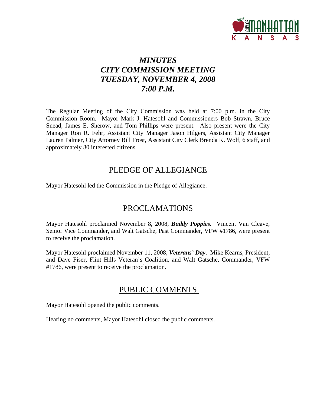

# *MINUTES CITY COMMISSION MEETING TUESDAY, NOVEMBER 4, 2008 7:00 P.M.*

The Regular Meeting of the City Commission was held at 7:00 p.m. in the City Commission Room. Mayor Mark J. Hatesohl and Commissioners Bob Strawn, Bruce Snead, James E. Sherow, and Tom Phillips were present. Also present were the City Manager Ron R. Fehr, Assistant City Manager Jason Hilgers, Assistant City Manager Lauren Palmer, City Attorney Bill Frost, Assistant City Clerk Brenda K. Wolf, 6 staff, and approximately 80 interested citizens.

### PLEDGE OF ALLEGIANCE

Mayor Hatesohl led the Commission in the Pledge of Allegiance.

## PROCLAMATIONS

Mayor Hatesohl proclaimed November 8, 2008, *Buddy Poppies.* Vincent Van Cleave, Senior Vice Commander, and Walt Gatsche, Past Commander, VFW #1786, were present to receive the proclamation.

Mayor Hatesohl proclaimed November 11, 2008, *Veterans' Day*. Mike Kearns, President, and Dave Fiser, Flint Hills Veteran's Coalition, and Walt Gatsche, Commander, VFW #1786, were present to receive the proclamation.

## PUBLIC COMMENTS

Mayor Hatesohl opened the public comments.

Hearing no comments, Mayor Hatesohl closed the public comments.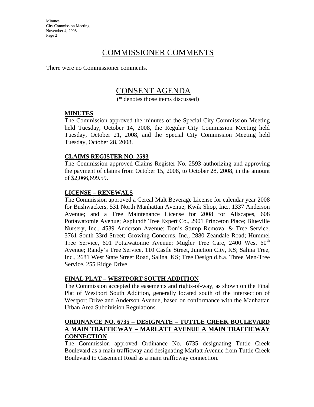### COMMISSIONER COMMENTS

There were no Commissioner comments.

### CONSENT AGENDA

(\* denotes those items discussed)

#### **MINUTES**

The Commission approved the minutes of the Special City Commission Meeting held Tuesday, October 14, 2008, the Regular City Commission Meeting held Tuesday, October 21, 2008, and the Special City Commission Meeting held Tuesday, October 28, 2008.

#### **CLAIMS REGISTER NO. 2593**

The Commission approved Claims Register No. 2593 authorizing and approving the payment of claims from October 15, 2008, to October 28, 2008, in the amount of \$2,066,699.59.

#### **LICENSE – RENEWALS**

The Commission approved a Cereal Malt Beverage License for calendar year 2008 for Bushwackers, 531 North Manhattan Avenue; Kwik Shop, Inc., 1337 Anderson Avenue; and a Tree Maintenance License for 2008 for Allscapes, 608 Pottawatomie Avenue; Asplundh Tree Expert Co., 2901 Princeton Place; Blueville Nursery, Inc., 4539 Anderson Avenue; Don's Stump Removal & Tree Service, 3761 South 33rd Street; Growing Concerns, Inc., 2880 Zeandale Road; Hummel Tree Service, 601 Pottawatomie Avenue; Mugler Tree Care, 2400 West 60<sup>th</sup> Avenue; Randy's Tree Service, 110 Castle Street, Junction City, KS; Salina Tree, Inc., 2681 West State Street Road, Salina, KS; Tree Design d.b.a. Three Men-Tree Service, 255 Ridge Drive.

#### **FINAL PLAT – WESTPORT SOUTH ADDITION**

The Commission accepted the easements and rights-of-way, as shown on the Final Plat of Westport South Addition, generally located south of the intersection of Westport Drive and Anderson Avenue, based on conformance with the Manhattan Urban Area Subdivision Regulations.

#### **ORDINANCE NO. 6735 – DESIGNATE – TUTTLE CREEK BOULEVARD A MAIN TRAFFICWAY – MARLATT AVENUE A MAIN TRAFFICWAY CONNECTION**

The Commission approved Ordinance No. 6735 designating Tuttle Creek Boulevard as a main trafficway and designating Marlatt Avenue from Tuttle Creek Boulevard to Casement Road as a main trafficway connection.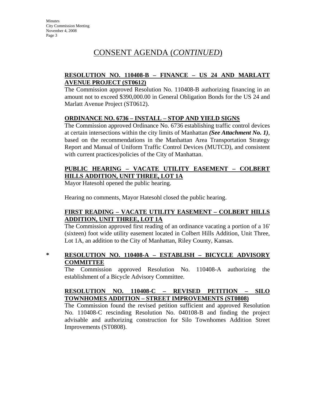## CONSENT AGENDA (*CONTINUED*)

#### **RESOLUTION NO. 110408-B – FINANCE – US 24 AND MARLATT AVENUE PROJECT (ST0612)**

The Commission approved Resolution No. 110408-B authorizing financing in an amount not to exceed \$390,000.00 in General Obligation Bonds for the US 24 and Marlatt Avenue Project (ST0612).

#### **ORDINANCE NO. 6736 – INSTALL – STOP AND YIELD SIGNS**

The Commission approved Ordinance No. 6736 establishing traffic control devices at certain intersections within the city limits of Manhattan *(See Attachment No. 1)*, based on the recommendations in the Manhattan Area Transportation Strategy Report and Manual of Uniform Traffic Control Devices (MUTCD), and consistent with current practices/policies of the City of Manhattan.

#### **PUBLIC HEARING – VACATE UTILITY EASEMENT – COLBERT HILLS ADDITION, UNIT THREE, LOT 1A**

Mayor Hatesohl opened the public hearing.

Hearing no comments, Mayor Hatesohl closed the public hearing.

#### **FIRST READING – VACATE UTILITY EASEMENT – COLBERT HILLS ADDITION, UNIT THREE, LOT 1A**

The Commission approved first reading of an ordinance vacating a portion of a 16' (sixteen) foot wide utility easement located in Colbert Hills Addition, Unit Three, Lot 1A, an addition to the City of Manhattan, Riley County, Kansas.

#### **\* RESOLUTION NO. 110408-A – ESTABLISH – BICYCLE ADVISORY COMMITTEE**

The Commission approved Resolution No. 110408-A authorizing the establishment of a Bicycle Advisory Committee.

#### **RESOLUTION NO. 110408-C – REVISED PETITION – SILO TOWNHOMES ADDITION – STREET IMPROVEMENTS (ST0808)**

The Commission found the revised petition sufficient and approved Resolution No. 110408-C rescinding Resolution No. 040108-B and finding the project advisable and authorizing construction for Silo Townhomes Addition Street Improvements (ST0808).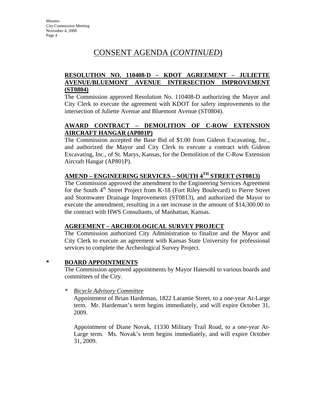## CONSENT AGENDA (*CONTINUED*)

#### **RESOLUTION NO. 110408-D – KDOT AGREEMENT – JULIETTE AVENUE/BLUEMONT AVENUE INTERSECTION IMPROVEMENT (ST0804)**

The Commission approved Resolution No. 110408-D authorizing the Mayor and City Clerk to execute the agreement with KDOT for safety improvements to the intersection of Juliette Avenue and Bluemont Avenue (ST0804).

#### **AWARD CONTRACT – DEMOLITION OF C-ROW EXTENSION AIRCRAFT HANGAR (AP801P)**

The Commission accepted the Base Bid of \$1.00 from Gideon Excavating, Inc., and authorized the Mayor and City Clerk to execute a contract with Gideon Excavating, Inc., of St. Marys, Kansas, for the Demolition of the C-Row Extension Aircraft Hangar (AP801P).

### **AMEND – ENGINEERING SERVICES – SOUTH 4TH STREET (ST0813)**

The Commission approved the amendment to the Engineering Services Agreement for the South 4<sup>th</sup> Street Project from K-18 (Fort Riley Boulevard) to Pierre Street and Stormwater Drainage Improvements (ST0813), and authorized the Mayor to execute the amendment, resulting in a net increase in the amount of \$14,300.00 to the contract with HWS Consultants, of Manhattan, Kansas.

#### **AGREEMENT – ARCHEOLOGICAL SURVEY PROJECT**

The Commission authorized City Administration to finalize and the Mayor and City Clerk to execute an agreement with Kansas State University for professional services to complete the Archeological Survey Project.

#### **\* BOARD APPOINTMENTS**

The Commission approved appointments by Mayor Hatesohl to various boards and committees of the City.

#### *\* Bicycle Advisory Committee*

Appointment of Brian Hardeman, 1822 Laramie Street, to a one-year At-Large term. Mr. Hardeman's term begins immediately, and will expire October 31, 2009.

Appointment of Diane Novak, 11330 Military Trail Road, to a one-year At-Large term. Ms. Novak's term begins immediately, and will expire October 31, 2009.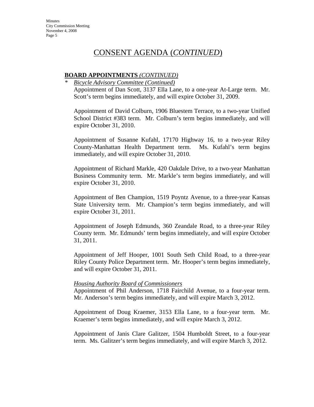### CONSENT AGENDA (*CONTINUED*)

#### **BOARD APPOINTMENTS** *(CONTINUED)*

*\* Bicycle Advisory Committee (Continued)* Appointment of Dan Scott, 3137 Ella Lane, to a one-year At-Large term. Mr. Scott's term begins immediately, and will expire October 31, 2009.

Appointment of David Colburn, 1906 Bluestem Terrace, to a two-year Unified School District #383 term. Mr. Colburn's term begins immediately, and will expire October 31, 2010.

Appointment of Susanne Kufahl, 17170 Highway 16, to a two-year Riley County-Manhattan Health Department term. Ms. Kufahl's term begins immediately, and will expire October 31, 2010.

Appointment of Richard Markle, 420 Oakdale Drive, to a two-year Manhattan Business Community term. Mr. Markle's term begins immediately, and will expire October 31, 2010.

Appointment of Ben Champion, 1519 Poyntz Avenue, to a three-year Kansas State University term. Mr. Champion's term begins immediately, and will expire October 31, 2011.

Appointment of Joseph Edmunds, 360 Zeandale Road, to a three-year Riley County term. Mr. Edmunds' term begins immediately, and will expire October 31, 2011.

Appointment of Jeff Hooper, 1001 South Seth Child Road, to a three-year Riley County Police Department term. Mr. Hooper's term begins immediately, and will expire October 31, 2011.

#### *Housing Authority Board of Commissioners*

Appointment of Phil Anderson, 1718 Fairchild Avenue, to a four-year term. Mr. Anderson's term begins immediately, and will expire March 3, 2012.

Appointment of Doug Kraemer, 3153 Ella Lane, to a four-year term. Mr. Kraemer's term begins immediately, and will expire March 3, 2012.

Appointment of Janis Clare Galitzer, 1504 Humboldt Street, to a four-year term. Ms. Galitzer's term begins immediately, and will expire March 3, 2012.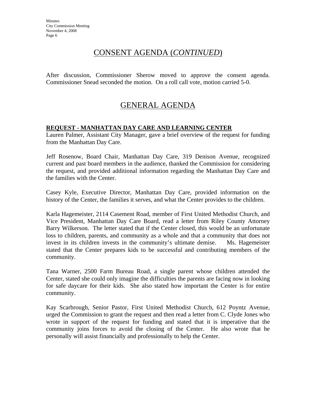### CONSENT AGENDA (*CONTINUED*)

After discussion, Commissioner Sherow moved to approve the consent agenda. Commissioner Snead seconded the motion. On a roll call vote, motion carried 5-0.

# GENERAL AGENDA

#### **REQUEST - MANHATTAN DAY CARE AND LEARNING CENTER**

Lauren Palmer, Assistant City Manager, gave a brief overview of the request for funding from the Manhattan Day Care.

Jeff Rosenow, Board Chair, Manhattan Day Care, 319 Denison Avenue, recognized current and past board members in the audience, thanked the Commission for considering the request, and provided additional information regarding the Manhattan Day Care and the families with the Center.

Casey Kyle, Executive Director, Manhattan Day Care, provided information on the history of the Center, the families it serves, and what the Center provides to the children.

Karla Hagemeister, 2114 Casement Road, member of First United Methodist Church, and Vice President, Manhattan Day Care Board, read a letter from Riley County Attorney Barry Wilkerson. The letter stated that if the Center closed, this would be an unfortunate loss to children, parents, and community as a whole and that a community that does not invest in its children invests in the community's ultimate demise. Ms. Hagemeister stated that the Center prepares kids to be successful and contributing members of the community.

Tana Warner, 2500 Farm Bureau Road, a single parent whose children attended the Center, stated she could only imagine the difficulties the parents are facing now in looking for safe daycare for their kids. She also stated how important the Center is for entire community.

Kay Scarbrough, Senior Pastor, First United Methodist Church, 612 Poyntz Avenue, urged the Commission to grant the request and then read a letter from C. Clyde Jones who wrote in support of the request for funding and stated that it is imperative that the community joins forces to avoid the closing of the Center. He also wrote that he personally will assist financially and professionally to help the Center.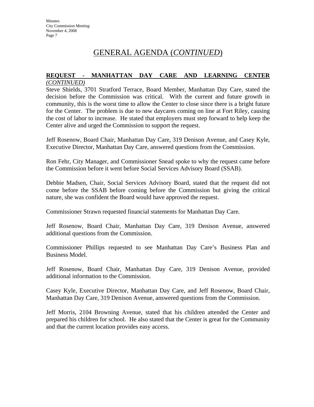### GENERAL AGENDA (*CONTINUED*)

#### **REQUEST - MANHATTAN DAY CARE AND LEARNING CENTER** *(CONTINUED)*

Steve Shields, 3701 Stratford Terrace, Board Member, Manhattan Day Care, stated the decision before the Commission was critical. With the current and future growth in community, this is the worst time to allow the Center to close since there is a bright future for the Center. The problem is due to new daycares coming on line at Fort Riley, causing the cost of labor to increase. He stated that employers must step forward to help keep the Center alive and urged the Commission to support the request.

Jeff Rosenow, Board Chair, Manhattan Day Care, 319 Denison Avenue, and Casey Kyle, Executive Director, Manhattan Day Care, answered questions from the Commission.

Ron Fehr, City Manager, and Commissioner Snead spoke to why the request came before the Commission before it went before Social Services Advisory Board (SSAB).

Debbie Madsen, Chair, Social Services Advisory Board, stated that the request did not come before the SSAB before coming before the Commission but giving the critical nature, she was confident the Board would have approved the request.

Commissioner Strawn requested financial statements for Manhattan Day Care.

Jeff Rosenow, Board Chair, Manhattan Day Care, 319 Denison Avenue, answered additional questions from the Commission.

Commissioner Phillips requested to see Manhattan Day Care's Business Plan and Business Model.

Jeff Rosenow, Board Chair, Manhattan Day Care, 319 Denison Avenue, provided additional information to the Commission.

Casey Kyle, Executive Director, Manhattan Day Care, and Jeff Rosenow, Board Chair, Manhattan Day Care, 319 Denison Avenue, answered questions from the Commission.

Jeff Morris, 2104 Browning Avenue, stated that his children attended the Center and prepared his children for school. He also stated that the Center is great for the Community and that the current location provides easy access.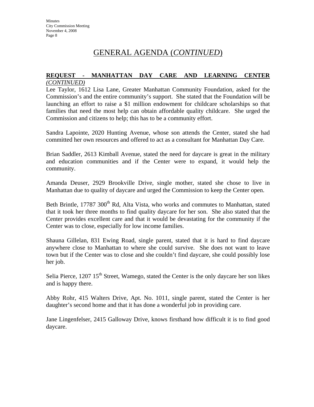## GENERAL AGENDA (*CONTINUED*)

#### **REQUEST - MANHATTAN DAY CARE AND LEARNING CENTER** *(CONTINUED)*

Lee Taylor, 1612 Lisa Lane, Greater Manhattan Community Foundation, asked for the Commission's and the entire community's support. She stated that the Foundation will be launching an effort to raise a \$1 million endowment for childcare scholarships so that families that need the most help can obtain affordable quality childcare. She urged the Commission and citizens to help; this has to be a community effort.

Sandra Lapointe, 2020 Hunting Avenue, whose son attends the Center, stated she had committed her own resources and offered to act as a consultant for Manhattan Day Care.

Brian Saddler, 2613 Kimball Avenue, stated the need for daycare is great in the military and education communities and if the Center were to expand, it would help the community.

Amanda Deuser, 2929 Brookville Drive, single mother, stated she chose to live in Manhattan due to quality of daycare and urged the Commission to keep the Center open.

Beth Brintle, 17787 300<sup>th</sup> Rd, Alta Vista, who works and commutes to Manhattan, stated that it took her three months to find quality daycare for her son. She also stated that the Center provides excellent care and that it would be devastating for the community if the Center was to close, especially for low income families.

Shauna Gillelan, 831 Ewing Road, single parent, stated that it is hard to find daycare anywhere close to Manhattan to where she could survive. She does not want to leave town but if the Center was to close and she couldn't find daycare, she could possibly lose her job.

Selia Pierce,  $1207 \times 15^{th}$  Street, Wamego, stated the Center is the only daycare her son likes and is happy there.

Abby Rohr, 415 Walters Drive, Apt. No. 1011, single parent, stated the Center is her daughter's second home and that it has done a wonderful job in providing care.

Jane Lingenfelser, 2415 Galloway Drive, knows firsthand how difficult it is to find good daycare.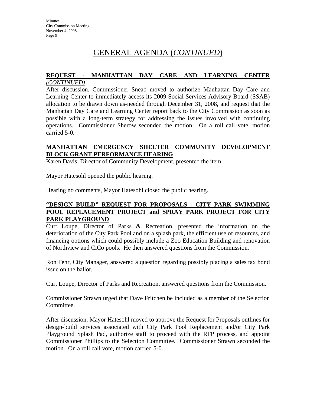## GENERAL AGENDA (*CONTINUED*)

#### **REQUEST - MANHATTAN DAY CARE AND LEARNING CENTER** *(CONTINUED)*

After discussion, Commissioner Snead moved to authorize Manhattan Day Care and Learning Center to immediately access its 2009 Social Services Advisory Board (SSAB) allocation to be drawn down as-needed through December 31, 2008, and request that the Manhattan Day Care and Learning Center report back to the City Commission as soon as possible with a long-term strategy for addressing the issues involved with continuing operations. Commissioner Sherow seconded the motion. On a roll call vote, motion carried 5-0.

#### **MANHATTAN EMERGENCY SHELTER COMMUNITY DEVELOPMENT BLOCK GRANT PERFORMANCE HEARING**

Karen Davis, Director of Community Development, presented the item.

Mayor Hatesohl opened the public hearing.

Hearing no comments, Mayor Hatesohl closed the public hearing.

#### **"DESIGN BUILD" REQUEST FOR PROPOSALS - CITY PARK SWIMMING POOL REPLACEMENT PROJECT and SPRAY PARK PROJECT FOR CITY PARK PLAYGROUND**

Curt Loupe, Director of Parks & Recreation, presented the information on the deterioration of the City Park Pool and on a splash park, the efficient use of resources, and financing options which could possibly include a Zoo Education Building and renovation of Northview and CiCo pools. He then answered questions from the Commission.

Ron Fehr, City Manager, answered a question regarding possibly placing a sales tax bond issue on the ballot.

Curt Loupe, Director of Parks and Recreation, answered questions from the Commission.

Commissioner Strawn urged that Dave Fritchen be included as a member of the Selection Committee.

After discussion, Mayor Hatesohl moved to approve the Request for Proposals outlines for design-build services associated with City Park Pool Replacement and/or City Park Playground Splash Pad, authorize staff to proceed with the RFP process, and appoint Commissioner Phillips to the Selection Committee. Commissioner Strawn seconded the motion. On a roll call vote, motion carried 5-0.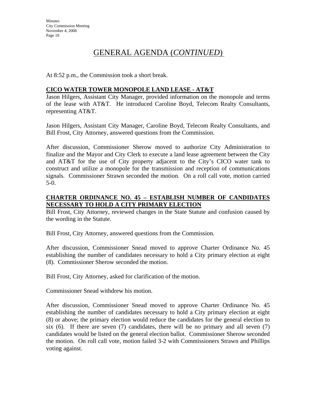## GENERAL AGENDA (*CONTINUED*)

At 8:52 p.m., the Commission took a short break.

#### **CICO WATER TOWER MONOPOLE LAND LEASE - AT&T**

Jason Hilgers, Assistant City Manager, provided information on the monopole and terms of the lease with AT&T. He introduced Caroline Boyd, Telecom Realty Consultants, representing AT&T.

Jason Hilgers, Assistant City Manager, Caroline Boyd, Telecom Realty Consultants, and Bill Frost, City Attorney, answered questions from the Commission.

After discussion, Commissioner Sherow moved to authorize City Administration to finalize and the Mayor and City Clerk to execute a land lease agreement between the City and AT&T for the use of City property adjacent to the City's CICO water tank to construct and utilize a monopole for the transmission and reception of communications signals. Commissioner Strawn seconded the motion. On a roll call vote, motion carried 5-0.

#### **CHARTER ORDINANCE NO. 45 – ESTABLISH NUMBER OF CANDIDATES NECESSARY TO HOLD A CITY PRIMARY ELECTION**

Bill Frost, City Attorney, reviewed changes in the State Statute and confusion caused by the wording in the Statute.

Bill Frost, City Attorney, answered questions from the Commission.

After discussion, Commissioner Snead moved to approve Charter Ordinance No. 45 establishing the number of candidates necessary to hold a City primary election at eight (8). Commissioner Sherow seconded the motion.

Bill Frost, City Attorney, asked for clarification of the motion.

Commissioner Snead withdrew his motion.

After discussion, Commissioner Snead moved to approve Charter Ordinance No. 45 establishing the number of candidates necessary to hold a City primary election at eight (8) or above; the primary election would reduce the candidates for the general election to six  $(6)$ . If there are seven  $(7)$  candidates, there will be no primary and all seven  $(7)$ candidates would be listed on the general election ballot. Commissioner Sherow seconded the motion. On roll call vote, motion failed 3-2 with Commissioners Strawn and Phillips voting against.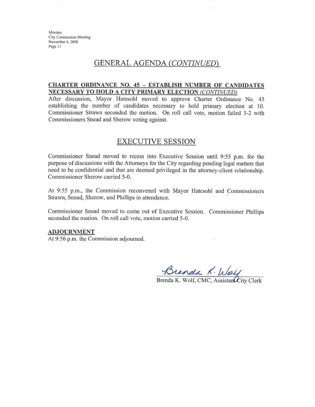#### GENERAL AGENDA (CONTINUED)

#### **CHARTER ORDINANCE NO. 45 - ESTABLISH NUMBER OF CANDIDATES** NECESSARY TO HOLD A CITY PRIMARY ELECTION (CONTINUED)

After discussion, Mayor Hatesohl moved to approve Charter Ordinance No. 45 establishing the number of candidates necessary to hold primary election at 10. Commissioner Strawn seconded the motion. On roll call vote, motion failed 3-2 with Commissioners Snead and Sherow voting against.

### **EXECUTIVE SESSION**

Commissioner Snead moved to recess into Executive Session until 9:55 p.m. for the purpose of discussions with the Attorneys for the City regarding pending legal matters that need to be confidential and that are deemed privileged in the attorney-client relationship. Commissioner Sherow carried 5-0.

At 9:55 p.m., the Commission reconvened with Mayor Hatesohl and Commissioners Strawn, Snead, Sherow, and Phillips in attendance.

Commissioner Snead moved to come out of Executive Session. Commissioner Phillips seconded the motion. On roll call vote, motion carried 5-0.

#### **ADJOURNMENT**

At 9:56 p.m. the Commission adjourned.

Brenda K. Way